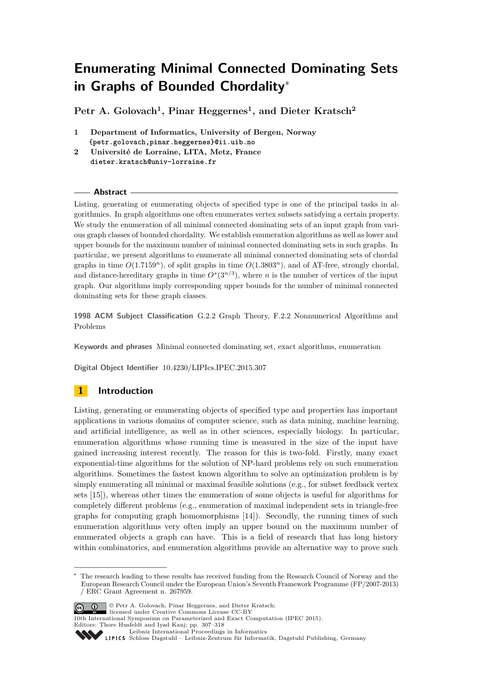**Petr A. Golovach<sup>1</sup> , Pinar Heggernes<sup>1</sup> , and Dieter Kratsch<sup>2</sup>**

- **1 Department of Informatics, University of Bergen, Norway {petr.golovach,pinar.heggernes}@ii.uib.no**
- **2 Université de Lorraine, LITA, Metz, France dieter.kratsch@univ-lorraine.fr**

#### **Abstract**

Listing, generating or enumerating objects of specified type is one of the principal tasks in algorithmics. In graph algorithms one often enumerates vertex subsets satisfying a certain property. We study the enumeration of all minimal connected dominating sets of an input graph from various graph classes of bounded chordality. We establish enumeration algorithms as well as lower and upper bounds for the maximum number of minimal connected dominating sets in such graphs. In particular, we present algorithms to enumerate all minimal connected dominating sets of chordal graphs in time  $O(1.7159^n)$ , of split graphs in time  $O(1.3803^n)$ , and of AT-free, strongly chordal, and distance-hereditary graphs in time  $O^*(3^{n/3})$ , where *n* is the number of vertices of the input graph. Our algorithms imply corresponding upper bounds for the number of minimal connected dominating sets for these graph classes.

**1998 ACM Subject Classification** G.2.2 Graph Theory, F.2.2 Nonnumerical Algorithms and Problems

**Keywords and phrases** Minimal connected dominating set, exact algorithms, enumeration

**Digital Object Identifier** [10.4230/LIPIcs.IPEC.2015.307](http://dx.doi.org/10.4230/LIPIcs.IPEC.2015.307)

# **1 Introduction**

Listing, generating or enumerating objects of specified type and properties has important applications in various domains of computer science, such as data mining, machine learning, and artificial intelligence, as well as in other sciences, especially biology. In particular, enumeration algorithms whose running time is measured in the size of the input have gained increasing interest recently. The reason for this is two-fold. Firstly, many exact exponential-time algorithms for the solution of NP-hard problems rely on such enumeration algorithms. Sometimes the fastest known algorithm to solve an optimization problem is by simply enumerating all minimal or maximal feasible solutions (e.g., for subset feedback vertex sets [\[15\]](#page-11-0)), whereas other times the enumeration of some objects is useful for algorithms for completely different problems (e.g., enumeration of maximal independent sets in triangle-free graphs for computing graph homomorphisms [\[14\]](#page-11-1)). Secondly, the running times of such enumeration algorithms very often imply an upper bound on the maximum number of enumerated objects a graph can have. This is a field of research that has long history within combinatorics, and enumeration algorithms provide an alternative way to prove such

The research leading to these results has received funding from the Research Council of Norway and the European Research Council under the European Union's Seventh Framework Programme (FP/2007-2013) / ERC Grant Agreement n. 267959.



<sup>©</sup> Petr A. Golovach, Pinar Heggernes, and Dieter Kratsch; licensed under Creative Commons License CC-BY

<sup>10</sup>th International Symposium on Parameterized and Exact Computation (IPEC 2015). Editors: Thore Husfeldt and Iyad Kanj; pp. 307[–318](#page-11-2)

[Leibniz International Proceedings in Informatics](http://www.dagstuhl.de/lipics/) Leibniz international Floretungs in missimosische Publishing, Germany<br>LIPICS [Schloss Dagstuhl – Leibniz-Zentrum für Informatik, Dagstuhl Publishing, Germany](http://www.dagstuhl.de)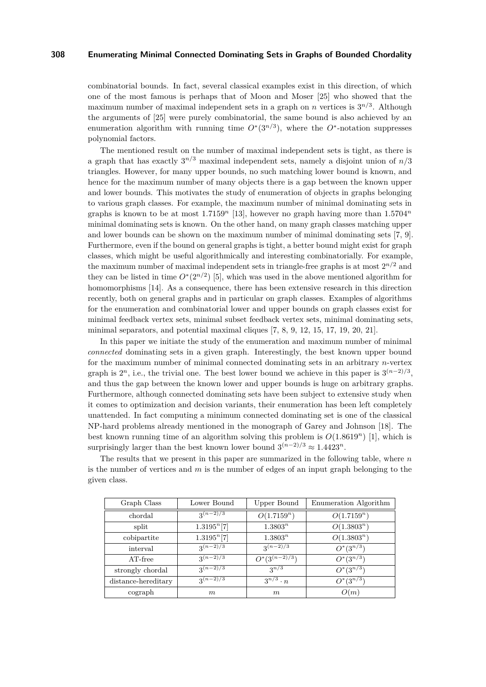combinatorial bounds. In fact, several classical examples exist in this direction, of which one of the most famous is perhaps that of Moon and Moser [\[25\]](#page-11-3) who showed that the maximum number of maximal independent sets in a graph on *n* vertices is  $3^{n/3}$ . Although the arguments of [\[25\]](#page-11-3) were purely combinatorial, the same bound is also achieved by an enumeration algorithm with running time  $O^*(3^{n/3})$ , where the  $O^*$ -notation suppresses polynomial factors.

The mentioned result on the number of maximal independent sets is tight, as there is a graph that has exactly 3 *n/*<sup>3</sup> maximal independent sets, namely a disjoint union of *n/*3 triangles. However, for many upper bounds, no such matching lower bound is known, and hence for the maximum number of many objects there is a gap between the known upper and lower bounds. This motivates the study of enumeration of objects in graphs belonging to various graph classes. For example, the maximum number of minimal dominating sets in graphs is known to be at most 1*.*7159*<sup>n</sup>* [\[13\]](#page-11-4), however no graph having more than 1*.*5704*<sup>n</sup>* minimal dominating sets is known. On the other hand, on many graph classes matching upper and lower bounds can be shown on the maximum number of minimal dominating sets [\[7,](#page-11-5) [9\]](#page-11-6). Furthermore, even if the bound on general graphs is tight, a better bound might exist for graph classes, which might be useful algorithmically and interesting combinatorially. For example, the maximum number of maximal independent sets in triangle-free graphs is at most  $2^{n/2}$  and they can be listed in time  $O^*(2^{n/2})$  [\[5\]](#page-11-7), which was used in the above mentioned algorithm for homomorphisms [\[14\]](#page-11-1). As a consequence, there has been extensive research in this direction recently, both on general graphs and in particular on graph classes. Examples of algorithms for the enumeration and combinatorial lower and upper bounds on graph classes exist for minimal feedback vertex sets, minimal subset feedback vertex sets, minimal dominating sets, minimal separators, and potential maximal cliques [\[7,](#page-11-5) [8,](#page-11-8) [9,](#page-11-6) [12,](#page-11-9) [15,](#page-11-0) [17,](#page-11-10) [19,](#page-11-11) [20,](#page-11-12) [21\]](#page-11-13).

In this paper we initiate the study of the enumeration and maximum number of minimal *connected* dominating sets in a given graph. Interestingly, the best known upper bound for the maximum number of minimal connected dominating sets in an arbitrary *n*-vertex graph is  $2^n$ , i.e., the trivial one. The best lower bound we achieve in this paper is  $3^{(n-2)/3}$ , and thus the gap between the known lower and upper bounds is huge on arbitrary graphs. Furthermore, although connected dominating sets have been subject to extensive study when it comes to optimization and decision variants, their enumeration has been left completely unattended. In fact computing a minimum connected dominating set is one of the classical NP-hard problems already mentioned in the monograph of Garey and Johnson [\[18\]](#page-11-14). The best known running time of an algorithm solving this problem is  $O(1.8619^n)$  [\[1\]](#page-10-0), which is surprisingly larger than the best known lower bound  $3^{(n-2)/3} \approx 1.4423^n$ .

The results that we present in this paper are summarized in the following table, where *n* is the number of vertices and *m* is the number of edges of an input graph belonging to the given class.

| Graph Class         | Lower Bound             | Upper Bound        | Enumeration Algorithm |
|---------------------|-------------------------|--------------------|-----------------------|
| chordal             | $3^{(n-2)/3}$           | $O(1.7159^n)$      | $O(1.7159^n)$         |
| split               | 1.3195 <sup>n</sup> [7] | $1.3803^n$         | $O(1.3803^n)$         |
| cobipartite         | 1.3195 <sup>n</sup> [7] | $1.3803^n$         | $O(1.3803^n)$         |
| interval            | $3^{(n-2)/3}$           | $3^{(n-2)/3}$      | $O^*(3^{n/3})$        |
| AT-free             | $3(n-2)/3$              | $O^*(3^{(n-2)/3})$ | $O^*(3^{n/3})$        |
| strongly chordal    | $3^{(n-2)/3}$           | $2^{n/3}$          | $O^*(3^{n/3})$        |
| distance-hereditary | $3(n-2)/3$              | $3^{n/3} \cdot n$  | $O^*(3^{n/3})$        |
| cograph             | m                       | m                  | O(m)                  |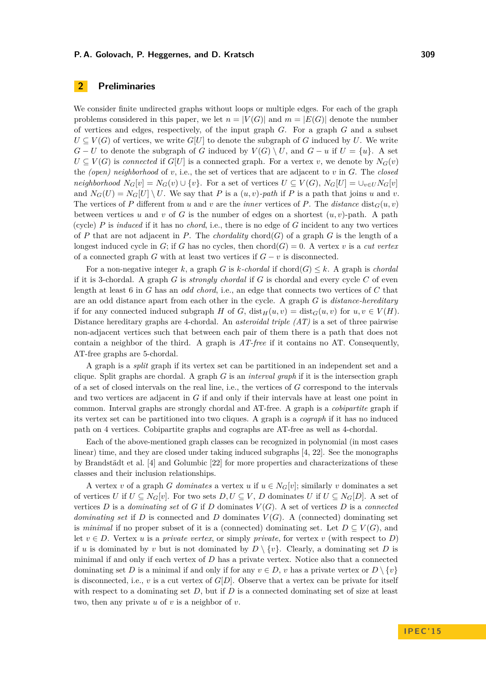# **2 Preliminaries**

We consider finite undirected graphs without loops or multiple edges. For each of the graph problems considered in this paper, we let  $n = |V(G)|$  and  $m = |E(G)|$  denote the number of vertices and edges, respectively, of the input graph *G*. For a graph *G* and a subset  $U \subseteq V(G)$  of vertices, we write  $G[U]$  to denote the subgraph of *G* induced by *U*. We write *G* − *U* to denote the subgraph of *G* induced by  $V(G) \setminus U$ , and  $G - u$  if  $U = \{u\}$ . A set  $U \subseteq V(G)$  is *connected* if  $G[U]$  is a connected graph. For a vertex *v*, we denote by  $N_G(v)$ the *(open) neighborhood* of *v*, i.e., the set of vertices that are adjacent to *v* in *G*. The *closed neighborhood*  $N_G[v] = N_G(v) \cup \{v\}$ . For a set of vertices  $U \subseteq V(G)$ ,  $N_G[U] = \cup_{v \in U} N_G[v]$ and  $N_G(U) = N_G[U] \setminus U$ . We say that *P* is a  $(u, v)$ -path if *P* is a path that joins *u* and *v*. The vertices of *P* different from *u* and *v* are the *inner* vertices of *P*. The *distance* dist<sub>*G*</sub>(*u, v*) between vertices *u* and *v* of *G* is the number of edges on a shortest  $(u, v)$ -path. A path (cycle) *P* is *induced* if it has no *chord*, i.e., there is no edge of *G* incident to any two vertices of *P* that are not adjacent in *P*. The *chordality* chord( $G$ ) of a graph  $G$  is the length of a longest induced cycle in *G*; if *G* has no cycles, then chord(*G*) = 0. A vertex *v* is a *cut vertex* of a connected graph *G* with at least two vertices if  $G - v$  is disconnected.

For a non-negative integer k, a graph *G* is k-chordal if chord(*G*)  $\leq k$ . A graph is *chordal* if it is 3-chordal. A graph *G* is *strongly chordal* if *G* is chordal and every cycle *C* of even length at least 6 in *G* has an *odd chord*, i.e., an edge that connects two vertices of *C* that are an odd distance apart from each other in the cycle. A graph *G* is *distance-hereditary* if for any connected induced subgraph *H* of *G*, dist<sub>*H*</sub>(*u, v*) = dist<sub>*G*</sub>(*u, v*) for *u, v*  $\in V(H)$ . Distance hereditary graphs are 4-chordal. An *asteroidal triple (AT)* is a set of three pairwise non-adjacent vertices such that between each pair of them there is a path that does not contain a neighbor of the third. A graph is *AT-free* if it contains no AT. Consequently, AT-free graphs are 5-chordal.

A graph is a *split* graph if its vertex set can be partitioned in an independent set and a clique. Split graphs are chordal. A graph *G* is an *interval graph* if it is the intersection graph of a set of closed intervals on the real line, i.e., the vertices of *G* correspond to the intervals and two vertices are adjacent in *G* if and only if their intervals have at least one point in common. Interval graphs are strongly chordal and AT-free. A graph is a *cobipartite* graph if its vertex set can be partitioned into two cliques. A graph is a *cograph* if it has no induced path on 4 vertices. Cobipartite graphs and cographs are AT-free as well as 4-chordal.

Each of the above-mentioned graph classes can be recognized in polynomial (in most cases linear) time, and they are closed under taking induced subgraphs [\[4,](#page-10-1) [22\]](#page-11-15). See the monographs by Brandstädt et al. [\[4\]](#page-10-1) and Golumbic [\[22\]](#page-11-15) for more properties and characterizations of these classes and their inclusion relationships.

A vertex *v* of a graph *G dominates* a vertex *u* if  $u \in N_G[v]$ ; similarly *v* dominates a set of vertices *U* if  $U \subseteq N_G[v]$ . For two sets  $D, U \subseteq V$ , *D* dominates *U* if  $U \subseteq N_G[D]$ . A set of vertices  $D$  is a *dominating set* of  $G$  if  $D$  dominates  $V(G)$ . A set of vertices  $D$  is a *connected dominating set* if *D* is connected and *D* dominates  $V(G)$ . A (connected) dominating set is *minimal* if no proper subset of it is a (connected) dominating set. Let  $D \subset V(G)$ , and let  $v \in D$ . Vertex *u* is a *private vertex*, or simply *private*, for vertex *v* (with respect to *D*) if *u* is dominated by *v* but is not dominated by  $D \setminus \{v\}$ . Clearly, a dominating set *D* is minimal if and only if each vertex of *D* has a private vertex. Notice also that a connected dominating set *D* is a minimal if and only if for any  $v \in D$ , *v* has a private vertex or  $D \setminus \{v\}$ is disconnected, i.e.,  $v$  is a cut vertex of  $G[D]$ . Observe that a vertex can be private for itself with respect to a dominating set  $D$ , but if  $D$  is a connected dominating set of size at least two, then any private *u* of *v* is a neighbor of *v*.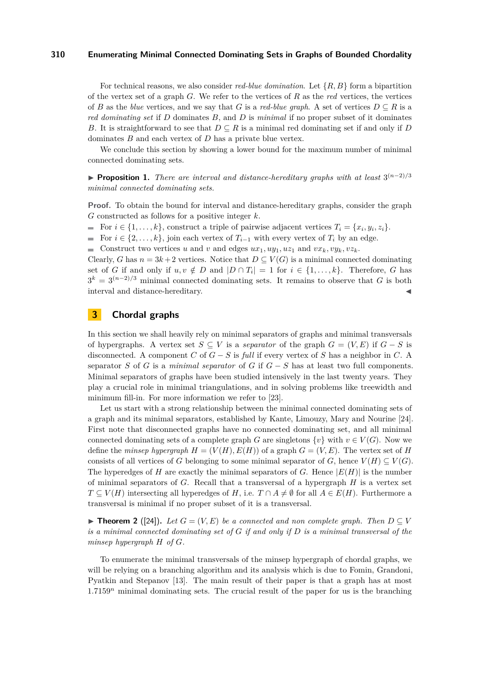For technical reasons, we also consider *red-blue domination*. Let {*R, B*} form a bipartition of the vertex set of a graph *G*. We refer to the vertices of *R* as the *red* vertices, the vertices of *B* as the *blue* vertices, and we say that *G* is a *red-blue graph*. A set of vertices  $D \subseteq R$  is a *red dominating set* if *D* dominates *B*, and *D* is *minimal* if no proper subset of it dominates *B*. It is straightforward to see that  $D \subseteq R$  is a minimal red dominating set if and only if *D* dominates *B* and each vertex of *D* has a private blue vertex.

We conclude this section by showing a lower bound for the maximum number of minimal connected dominating sets.

<span id="page-3-1"></span>**► Proposition 1.** *There are interval and distance-hereditary graphs with at least*  $3^{(n-2)/3}$ *minimal connected dominating sets.*

**Proof.** To obtain the bound for interval and distance-hereditary graphs, consider the graph *G* constructed as follows for a positive integer *k*.

For  $i \in \{1, \ldots, k\}$ , construct a triple of pairwise adjacent vertices  $T_i = \{x_i, y_i, z_i\}$ .

For  $i \in \{2, \ldots, k\}$ , join each vertex of  $T_{i-1}$  with every vertex of  $T_i$  by an edge.

Construct two vertices *u* and *v* and edges  $ux_1, uy_1, uz_1$  and  $vx_k, vy_k, vz_k$ .

Clearly, *G* has  $n = 3k + 2$  vertices. Notice that  $D \subset V(G)$  is a minimal connected dominating set of *G* if and only if  $u, v \notin D$  and  $|D \cap T_i| = 1$  for  $i \in \{1, ..., k\}$ . Therefore, *G* has  $3^k = 3^{(n-2)/3}$  minimal connected dominating sets. It remains to observe that *G* is both interval and distance-hereditary.

## **3 Chordal graphs**

In this section we shall heavily rely on minimal separators of graphs and minimal transversals of hypergraphs. A vertex set  $S \subseteq V$  is a *separator* of the graph  $G = (V, E)$  if  $G - S$  is disconnected. A component *C* of *G* − *S* is *full* if every vertex of *S* has a neighbor in *C*. A separator *S* of *G* is a *minimal separator* of *G* if *G* − *S* has at least two full components. Minimal separators of graphs have been studied intensively in the last twenty years. They play a crucial role in minimal triangulations, and in solving problems like treewidth and minimum fill-in. For more information we refer to [\[23\]](#page-11-16).

Let us start with a strong relationship between the minimal connected dominating sets of a graph and its minimal separators, established by Kante, Limouzy, Mary and Nourine [\[24\]](#page-11-17). First note that disconnected graphs have no connected dominating set, and all minimal connected dominating sets of a complete graph *G* are singletons  $\{v\}$  with  $v \in V(G)$ . Now we define the *minsep hypergraph*  $H = (V(H), E(H))$  of a graph  $G = (V, E)$ . The vertex set of *H* consists of all vertices of *G* belonging to some minimal separator of *G*, hence  $V(H) \subseteq V(G)$ . The hyperedges of *H* are exactly the minimal separators of *G*. Hence  $|E(H)|$  is the number of minimal separators of *G*. Recall that a transversal of a hypergraph *H* is a vertex set *T* ⊆ *V*(*H*) intersecting all hyperedges of *H*, i.e. *T* ∩ *A* ≠ ∅ for all *A* ∈ *E*(*H*). Furthermore a transversal is minimal if no proper subset of it is a transversal.

<span id="page-3-0"></span>▶ **Theorem 2** ([\[24\]](#page-11-17)). Let  $G = (V, E)$  be a connected and non complete graph. Then  $D ⊆ V$ *is a minimal connected dominating set of G if and only if D is a minimal transversal of the minsep hypergraph H of G.*

To enumerate the minimal transversals of the minsep hypergraph of chordal graphs, we will be relying on a branching algorithm and its analysis which is due to Fomin, Grandoni, Pyatkin and Stepanov [\[13\]](#page-11-4). The main result of their paper is that a graph has at most 1*.*7159*<sup>n</sup>* minimal dominating sets. The crucial result of the paper for us is the branching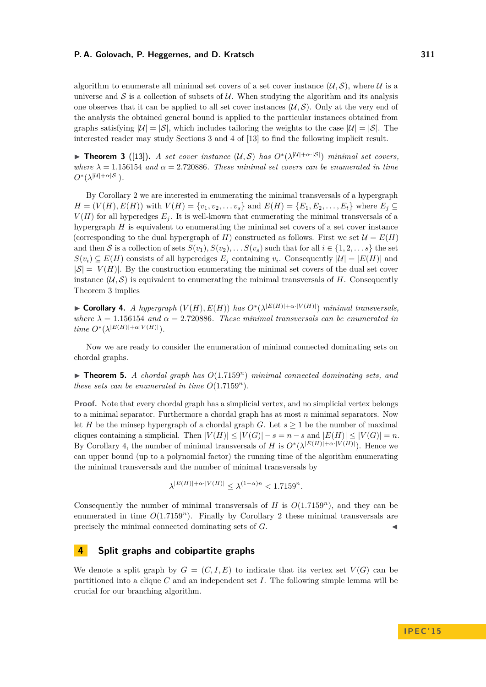algorithm to enumerate all minimal set covers of a set cover instance  $(\mathcal{U}, \mathcal{S})$ , where  $\mathcal{U}$  is a universe and  $S$  is a collection of subsets of  $U$ . When studying the algorithm and its analysis one observes that it can be applied to all set cover instances  $(\mathcal{U}, \mathcal{S})$ . Only at the very end of the analysis the obtained general bound is applied to the particular instances obtained from graphs satisfying  $|U| = |S|$ , which includes tailoring the weights to the case  $|U| = |S|$ . The interested reader may study Sections 3 and 4 of [\[13\]](#page-11-4) to find the following implicit result.

<span id="page-4-0"></span>**► Theorem 3** ([\[13\]](#page-11-4)). *A set cover instance*  $(U, S)$  *has*  $O^*(\lambda^{|U| + \alpha \cdot |S|})$  *minimal set covers, where*  $\lambda = 1.156154$  *and*  $\alpha = 2.720886$ *. These minimal set covers can be enumerated in time*  $O^*(\lambda^{|U| + \alpha |S|}).$ 

By Corollary [2](#page-3-0) we are interested in enumerating the minimal transversals of a hypergraph  $H = (V(H), E(H))$  with  $V(H) = \{v_1, v_2, \dots v_s\}$  and  $E(H) = \{E_1, E_2, \dots, E_t\}$  where  $E_j \subseteq$  $V(H)$  for all hyperedges  $E_i$ . It is well-known that enumerating the minimal transversals of a hypergraph *H* is equivalent to enumerating the minimal set covers of a set cover instance (corresponding to the dual hypergraph of *H*) constructed as follows. First we set  $\mathcal{U} = E(H)$ and then S is a collection of sets  $S(v_1), S(v_2), \ldots, S(v_s)$  such that for all  $i \in \{1, 2, \ldots, s\}$  the set  $S(v_i) \subseteq E(H)$  consists of all hyperedges  $E_j$  containing  $v_i$ . Consequently  $|\mathcal{U}| = |E(H)|$  and  $|S| = |V(H)|$ . By the construction enumerating the minimal set covers of the dual set cover instance  $(U, S)$  is equivalent to enumerating the minimal transversals of *H*. Consequently Theorem [3](#page-4-0) implies

<span id="page-4-1"></span>▶ **Corollary 4.** *A hypergraph*  $(V(H), E(H))$  *has*  $O<sup>*</sup>(\lambda^{|E(H)|+α·|V(H)|})$  *minimal transversals, where*  $\lambda = 1.156154$  *and*  $\alpha = 2.720886$ *. These minimal transversals can be enumerated in*  $time \ O^*(\lambda^{|E(H)| + \alpha|V(H)|}).$ 

Now we are ready to consider the enumeration of minimal connected dominating sets on chordal graphs.

 $\triangleright$  **Theorem 5.** *A chordal graph has*  $O(1.7159<sup>n</sup>)$  *minimal connected dominating sets, and these sets can be enumerated in time*  $O(1.7159<sup>n</sup>)$ *.* 

**Proof.** Note that every chordal graph has a simplicial vertex, and no simplicial vertex belongs to a minimal separator. Furthermore a chordal graph has at most *n* minimal separators. Now let *H* be the minsep hypergraph of a chordal graph *G*. Let  $s \geq 1$  be the number of maximal cliques containing a simplicial. Then  $|V(H)| \leq |V(G)| - s = n - s$  and  $|E(H)| \leq |V(G)| = n$ . By Corollary [4,](#page-4-1) the number of minimal transversals of *H* is  $O^*(\lambda^{|E(H)| + \alpha \cdot |V(H)|})$ . Hence we can upper bound (up to a polynomial factor) the running time of the algorithm enumerating the minimal transversals and the number of minimal transversals by

$$
\lambda^{|E(H)| + \alpha \cdot |V(H)|} \le \lambda^{(1+\alpha)n} < 1.7159^n.
$$

Consequently the number of minimal transversals of *H* is  $O(1.7159<sup>n</sup>)$ , and they can be enumerated in time  $O(1.7159<sup>n</sup>)$ . Finally by Corollary [2](#page-3-0) these minimal transversals are precisely the minimal connected dominating sets of *G*.

### **4 Split graphs and cobipartite graphs**

We denote a split graph by  $G = (C, I, E)$  to indicate that its vertex set  $V(G)$  can be partitioned into a clique *C* and an independent set *I*. The following simple lemma will be crucial for our branching algorithm.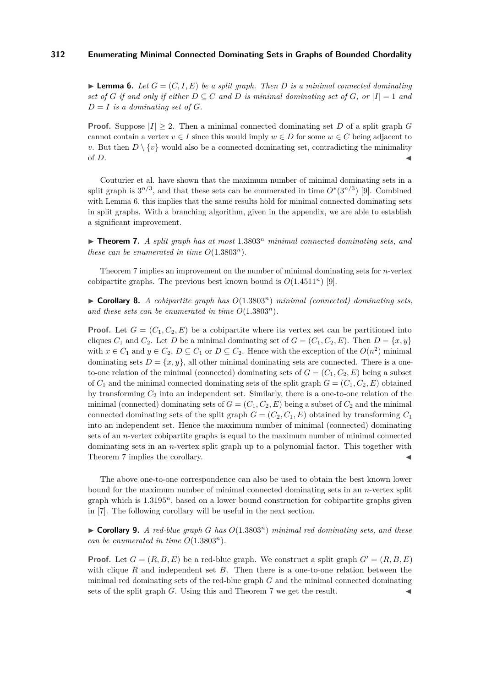<span id="page-5-0"></span> $\blacktriangleright$  **Lemma 6.** Let  $G = (C, I, E)$  be a split graph. Then D is a minimal connected dominating *set of G if and only if either*  $D \subseteq C$  *and D is minimal dominating set of G, or*  $|I| = 1$  *and*  $D = I$  *is a dominating set of G*.

**Proof.** Suppose  $|I| \geq 2$ . Then a minimal connected dominating set *D* of a split graph *G* cannot contain a vertex  $v \in I$  since this would imply  $w \in D$  for some  $w \in C$  being adjacent to *v*. But then  $D \setminus \{v\}$  would also be a connected dominating set, contradicting the minimality of  $D$ .

Couturier et al. have shown that the maximum number of minimal dominating sets in a split graph is  $3^{n/3}$ , and that these sets can be enumerated in time  $O^*(3^{n/3})$  [\[9\]](#page-11-6). Combined with Lemma [6,](#page-5-0) this implies that the same results hold for minimal connected dominating sets in split graphs. With a branching algorithm, given in the appendix, we are able to establish a significant improvement.

<span id="page-5-1"></span> $\triangleright$  **Theorem 7.** *A split graph has at most* 1.3803<sup>*n*</sup> *minimal connected dominating sets, and these can be enumerated in time*  $O(1.3803^n)$ .

Theorem [7](#page-5-1) implies an improvement on the number of minimal dominating sets for *n*-vertex cobipartite graphs. The previous best known bound is  $O(1.4511^n)$  [\[9\]](#page-11-6).

 $\triangleright$  **Corollary 8.** *A cobipartite graph has*  $O(1.3803^n)$  *minimal (connected) dominating sets,* and these sets can be enumerated in time  $O(1.3803^n)$ .

**Proof.** Let  $G = (C_1, C_2, E)$  be a cobipartite where its vertex set can be partitioned into cliques  $C_1$  and  $C_2$ . Let *D* be a minimal dominating set of  $G = (C_1, C_2, E)$ . Then  $D = \{x, y\}$ with  $x \in C_1$  and  $y \in C_2$ ,  $D \subseteq C_1$  or  $D \subseteq C_2$ . Hence with the exception of the  $O(n^2)$  minimal dominating sets  $D = \{x, y\}$ , all other minimal dominating sets are connected. There is a oneto-one relation of the minimal (connected) dominating sets of  $G = (C_1, C_2, E)$  being a subset of  $C_1$  and the minimal connected dominating sets of the split graph  $G = (C_1, C_2, E)$  obtained by transforming  $C_2$  into an independent set. Similarly, there is a one-to-one relation of the minimal (connected) dominating sets of  $G = (C_1, C_2, E)$  being a subset of  $C_2$  and the minimal connected dominating sets of the split graph  $G = (C_2, C_1, E)$  obtained by transforming  $C_1$ into an independent set. Hence the maximum number of minimal (connected) dominating sets of an *n*-vertex cobipartite graphs is equal to the maximum number of minimal connected dominating sets in an *n*-vertex split graph up to a polynomial factor. This together with Theorem [7](#page-5-1) implies the corollary.

The above one-to-one correspondence can also be used to obtain the best known lower bound for the maximum number of minimal connected dominating sets in an *n*-vertex split graph which is 1*.*3195*<sup>n</sup>*, based on a lower bound construction for cobipartite graphs given in [\[7\]](#page-11-5). The following corollary will be useful in the next section.

<span id="page-5-2"></span> $\triangleright$  **Corollary 9.** *A red-blue graph G has*  $O(1.3803^n)$  *minimal red dominating sets, and these can be enumerated in time*  $O(1.3803^n)$ .

**Proof.** Let  $G = (R, B, E)$  be a red-blue graph. We construct a split graph  $G' = (R, B, E)$ with clique *R* and independent set *B*. Then there is a one-to-one relation between the minimal red dominating sets of the red-blue graph *G* and the minimal connected dominating sets of the split graph  $G$ . Using this and Theorem  $7$  we get the result.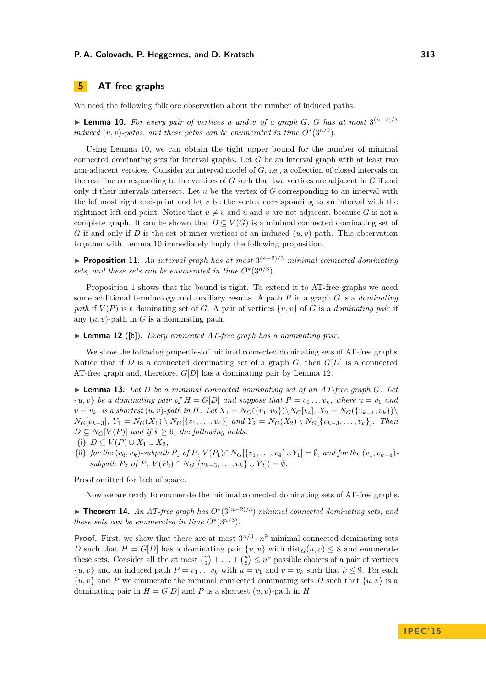# **5 AT-free graphs**

We need the following folklore observation about the number of induced paths.

<span id="page-6-0"></span>▶ **Lemma 10.** For every pair of vertices *u* and *v* of a graph *G*, *G* has at most  $3^{(n-2)/3}$ *induced*  $(u, v)$ -paths, and these paths can be enumerated in time  $O^*(3^{n/3})$ .

Using Lemma [10,](#page-6-0) we can obtain the tight upper bound for the number of minimal connected dominating sets for interval graphs. Let *G* be an interval graph with at least two non-adjacent vertices. Consider an interval model of *G*, i.e., a collection of closed intervals on the real line corresponding to the vertices of *G* such that two vertices are adjacent in *G* if and only if their intervals intersect. Let *u* be the vertex of *G* corresponding to an interval with the leftmost right end-point and let *v* be the vertex corresponding to an interval with the rightmost left end-point. Notice that  $u \neq v$  and *u* and *v* are not adjacent, because *G* is not a complete graph. It can be shown that  $D \subseteq V(G)$  is a minimal connected dominating set of *G* if and only if *D* is the set of inner vertices of an induced (*u, v*)-path. This observation together with Lemma [10](#page-6-0) immediately imply the following proposition.

**► Proposition 11.** An interval graph has at most  $3^{(n-2)/3}$  minimal connected dominating *sets, and these sets can be enumerated in time*  $O^*(3^{n/3})$ *.* 

Proposition [1](#page-3-1) shows that the bound is tight. To extend it to AT-free graphs we need some additional terminology and auxiliary results. A path *P* in a graph *G* is a *dominating path* if  $V(P)$  is a dominating set of *G*. A pair of vertices  $\{u, v\}$  of *G* is a *dominating pair* if any  $(u, v)$ -path in  $G$  is a dominating path.

<span id="page-6-1"></span>▶ **Lemma 12** ([\[6\]](#page-11-18)). *Every connected AT-free graph has a dominating pair.* 

We show the following properties of minimal connected dominating sets of AT-free graphs. Notice that if  $D$  is a connected dominating set of a graph  $G$ , then  $G[D]$  is a connected AT-free graph and, therefore, *G*[*D*] has a dominating pair by Lemma [12.](#page-6-1)

<span id="page-6-2"></span> $\blacktriangleright$  **Lemma 13.** Let D be a minimal connected dominating set of an AT-free graph G. Let  $\{u, v\}$  be a dominating pair of  $H = G[D]$  and suppose that  $P = v_1 \dots v_k$ , where  $u = v_1$  and  $v = v_k$ , is a shortest  $(u, v)$ -path in H. Let  $X_1 = N_G({v_1, v_2}) \setminus N_G[v_4], X_2 = N_G({v_{k-1}, v_k}) \setminus N_G[v_4]$  $N_G[v_{k-3}], Y_1 = N_G(X_1) \setminus N_G[\{v_1, \ldots, v_4\}]$  and  $Y_2 = N_G(X_2) \setminus N_G[\{v_{k-3}, \ldots, v_k\}].$  Then  $D \subseteq N_G[V(P)]$  *and if*  $k \geq 6$ *, the following holds:* 

- (i)  $D ⊆ V(P) ∪ X_1 ∪ X_2$
- (ii) for the  $(v_6, v_k)$ -subpath  $P_1$  of  $P$ ,  $V(P_1) \cap N_G[\{v_1, \ldots, v_4\} \cup Y_1] = \emptyset$ , and for the  $(v_1, v_{k-5})$ - $\{ \text{subpath } P_2 \text{ of } P, V(P_2) \cap N_G[\{v_{k-3}, \ldots, v_k\} \cup Y_2] \} = \emptyset.$

Proof omitted for lack of space.

Now we are ready to enumerate the minimal connected dominating sets of AT-free graphs.

**► Theorem 14.** An AT-free graph has  $O^*(3^{(n-2)/3})$  minimal connected dominating sets, and *these sets can be enumerated in time*  $O^*(3^{n/3})$ *.* 

**Proof.** First, we show that there are at most  $3^{n/3} \cdot n^9$  minimal connected dominating sets *D* such that  $H = G[D]$  has a dominating pair  $\{u, v\}$  with  $dist_G(u, v) \leq 8$  and enumerate these sets. Consider all the at most  $\binom{n}{1} + \ldots + \binom{n}{9} \leq n^9$  possible choices of a pair of vertices  $\{u, v\}$  and an induced path  $P = v_1 \dots v_k$  with  $u = v_1$  and  $v = v_k$  such that  $k \leq 9$ . For each  $\{u, v\}$  and P we enumerate the minimal connected dominating sets D such that  $\{u, v\}$  is a dominating pair in  $H = G[D]$  and P is a shortest  $(u, v)$ -path in H.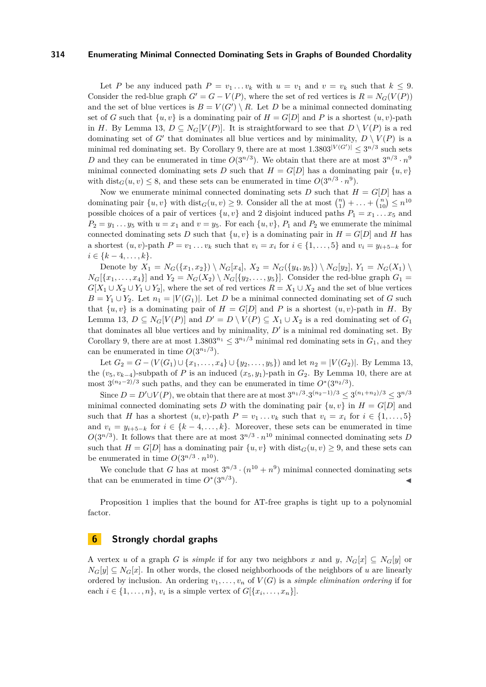Let *P* be any induced path  $P = v_1 \ldots v_k$  with  $u = v_1$  and  $v = v_k$  such that  $k \leq 9$ . Consider the red-blue graph  $G' = G - V(P)$ , where the set of red vertices is  $R = N_G(V(P))$ and the set of blue vertices is  $B = V(G') \setminus R$ . Let *D* be a minimal connected dominating set of *G* such that  $\{u, v\}$  is a dominating pair of  $H = G[D]$  and *P* is a shortest  $(u, v)$ -path in *H*. By Lemma [13,](#page-6-2)  $D \subseteq N_G[V(P)]$ . It is straightforward to see that  $D \setminus V(P)$  is a red dominating set of *G*<sup> $\prime$ </sup> that dominates all blue vertices and by minimality,  $D \setminus V(P)$  is a minimal red dominating set. By Corollary [9,](#page-5-2) there are at most  $1.3803^{|V(G')|} \leq 3^{n/3}$  such sets D and they can be enumerated in time  $O(3^{n/3})$ . We obtain that there are at most  $3^{n/3} \cdot n^9$ minimal connected dominating sets *D* such that  $H = G[D]$  has a dominating pair  $\{u, v\}$ with  $dist_G(u, v) \leq 8$ , and these sets can be enumerated in time  $O(3^{n/3} \cdot n^9)$ .

Now we enumerate minimal connected dominating sets *D* such that  $H = G[D]$  has a dominating pair  $\{u, v\}$  with  $dist_G(u, v) \geq 9$ . Consider all the at most  $\binom{n}{1} + \ldots + \binom{n}{10} \leq n^{10}$ possible choices of a pair of vertices  $\{u, v\}$  and 2 disjoint induced paths  $P_1 = x_1 \dots x_5$  and  $P_2 = y_1 \ldots y_5$  with  $u = x_1$  and  $v = y_5$ . For each  $\{u, v\}$ ,  $P_1$  and  $P_2$  we enumerate the minimal connected dominating sets *D* such that  $\{u, v\}$  is a dominating pair in  $H = G[D]$  and *H* has a shortest  $(u, v)$ -path  $P = v_1 \dots v_k$  such that  $v_i = x_i$  for  $i \in \{1, \dots, 5\}$  and  $v_i = y_{i+5-k}$  for  $i \in \{k-4, \ldots, k\}.$ 

Denote by  $X_1 = N_G({x_1, x_2}) \setminus N_G[x_4], X_2 = N_G({y_4, y_5}) \setminus N_G[y_2], Y_1 = N_G(X_1) \setminus N_G[y_1]$  $N_G[\{x_1, ..., x_4\}]$  and  $Y_2 = N_G(X_2) \setminus N_G[\{y_2, ..., y_5\}]$ . Consider the red-blue graph  $G_1 =$  $G[X_1 \cup X_2 \cup Y_1 \cup Y_2]$ , where the set of red vertices  $R = X_1 \cup X_2$  and the set of blue vertices  $B = Y_1 \cup Y_2$ . Let  $n_1 = |V(G_1)|$ . Let *D* be a minimal connected dominating set of *G* such that  $\{u, v\}$  is a dominating pair of  $H = G[D]$  and P is a shortest  $(u, v)$ -path in H. By Lemma [13,](#page-6-2)  $D \subseteq N_G[V(P)]$  and  $D' = D \setminus V(P) \subseteq X_1 \cup X_2$  is a red dominating set of  $G_1$ that dominates all blue vertices and by minimality,  $D'$  is a minimal red dominating set. By Corollary [9,](#page-5-2) there are at most  $1.3803^{n_1} \leq 3^{n_1/3}$  minimal red dominating sets in  $G_1$ , and they can be enumerated in time  $O(3^{n_1/3})$ .

Let  $G_2 = G - (V(G_1) \cup \{x_1, \ldots, x_4\} \cup \{y_2, \ldots, y_5\})$  and let  $n_2 = |V(G_2)|$ . By Lemma [13,](#page-6-2) the  $(v_5, v_{k-4})$ -subpath of *P* is an induced  $(x_5, y_1)$ -path in  $G_2$ . By Lemma [10,](#page-6-0) there are at most  $3^{(n_2-2)/3}$  such paths, and they can be enumerated in time  $O^*(3^{n_2/3})$ .

Since  $D = D' \cup V(P)$ , we obtain that there are at most  $3^{n_1/3} \cdot 3^{(n_2-1)/3} \leq 3^{(n_1+n_2)/3} \leq 3^{n/3}$ minimal connected dominating sets *D* with the dominating pair  $\{u, v\}$  in  $H = G[D]$  and such that *H* has a shortest  $(u, v)$ -path  $P = v_1 \dots v_k$  such that  $v_i = x_i$  for  $i \in \{1, \dots, 5\}$ and  $v_i = y_{i+5-k}$  for  $i \in \{k-4,\ldots,k\}$ . Moreover, these sets can be enumerated in time  $O(3^{n/3})$ . It follows that there are at most  $3^{n/3} \cdot n^{10}$  minimal connected dominating sets *D* such that  $H = G[D]$  has a dominating pair  $\{u, v\}$  with  $dist_G(u, v) \geq 9$ , and these sets can be enumerated in time  $O(3^{n/3} \cdot n^{10})$ .

We conclude that *G* has at most  $3^{n/3} \cdot (n^{10} + n^9)$  minimal connected dominating sets that can be enumerated in time  $O^*(3^{n/3})$  $\blacksquare$ ).

Proposition [1](#page-3-1) implies that the bound for AT-free graphs is tight up to a polynomial factor.

## **6 Strongly chordal graphs**

A vertex *u* of a graph *G* is *simple* if for any two neighbors *x* and *y*,  $N_G[x] \subseteq N_G[y]$  or  $N_G[y] \subseteq N_G[x]$ . In other words, the closed neighborhoods of the neighbors of *u* are linearly ordered by inclusion. An ordering  $v_1, \ldots, v_n$  of  $V(G)$  is a *simple elimination ordering* if for each  $i \in \{1, \ldots, n\}$ ,  $v_i$  is a simple vertex of  $G[\{x_i, \ldots, x_n\}]$ .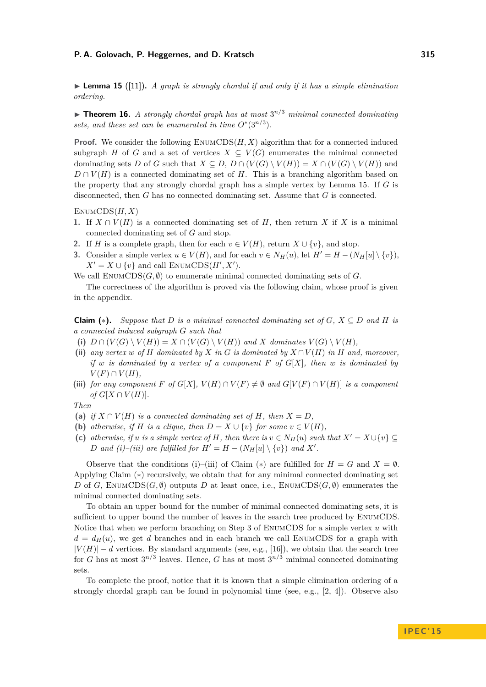<span id="page-8-0"></span>**Lemma 15** ([\[11\]](#page-11-19)). A graph is strongly chordal if and only if it has a simple elimination *ordering.*

 $\triangleright$  **Theorem 16.** *A strongly chordal graph has at most*  $3^{n/3}$  *minimal connected dominating sets, and these set can be enumerated in time*  $O^*(3^{n/3})$ *.* 

**Proof.** We consider the following EnumCDS(*H, X*) algorithm that for a connected induced subgraph *H* of *G* and a set of vertices  $X \subseteq V(G)$  enumerates the minimal connected dominating sets *D* of *G* such that  $X \subseteq D$ ,  $D \cap (V(G) \setminus V(H)) = X \cap (V(G) \setminus V(H))$  and  $D \cap V(H)$  is a connected dominating set of *H*. This is a branching algorithm based on the property that any strongly chordal graph has a simple vertex by Lemma [15.](#page-8-0) If *G* is disconnected, then *G* has no connected dominating set. Assume that *G* is connected.

EnumCDS(*H, X*)

- 1. If  $X \cap V(H)$  is a connected dominating set of *H*, then return *X* if *X* is a minimal connected dominating set of *G* and stop.
- **2.** If *H* is a complete graph, then for each  $v \in V(H)$ , return  $X \cup \{v\}$ , and stop.
- **3.** Consider a simple vertex  $u \in V(H)$ , and for each  $v \in N_H(u)$ , let  $H' = H (N_H[u] \setminus \{v\})$ ,  $X' = X \cup \{v\}$  and call ENUMCDS(*H', X'*).

We call  $\text{EnumCDS}(G, \emptyset)$  to enumerate minimal connected dominating sets of G.

The correctness of the algorithm is proved via the following claim, whose proof is given in the appendix.

**Claim (\*).** Suppose that D is a minimal connected dominating set of  $G$ ,  $X \subseteq D$  and H is *a connected induced subgraph G such that*

- (i)  $D \cap (V(G) \setminus V(H)) = X \cap (V(G) \setminus V(H))$  and *X* dominates  $V(G) \setminus V(H)$ ,
- (ii) any vertex  $w$  of  $H$  dominated by  $X$  in  $G$  is dominated by  $X \cap V(H)$  in  $H$  and, moreover, *if w is dominated by a vertex of a component F of G*[*X*]*, then w is dominated by*  $V(F) \cap V(H)$ ,
- (iii) *for any component*  $F$  *of*  $G[X]$ ,  $V(H) \cap V(F) \neq \emptyset$  *and*  $G[V(F) \cap V(H)]$  *is a component*  $of$   $G[X \cap V(H)]$ .

*Then*

- **(a)** if  $X \cap V(H)$  is a connected dominating set of H, then  $X = D$ .
- **(b)** *otherwise, if H is a clique, then*  $D = X \cup \{v\}$  *for some*  $v \in V(H)$ *,*
- (c) *otherwise, if u is a simple vertex of H, then there is*  $v \in N_H(u)$  *such that*  $X' = X \cup \{v\} \subseteq$ *D* and (i)–(iii) are fulfilled for  $H' = H - (N_H[u] \setminus \{v\})$  and  $X'$ .

Observe that the conditions (i)–(iii) of Claim (\*) are fulfilled for  $H = G$  and  $X = \emptyset$ . Applying Claim (∗) recursively, we obtain that for any minimal connected dominating set *D* of *G*, ENUMCDS(*G,*  $\emptyset$ ) outputs *D* at least once, i.e., ENUMCDS(*G,*  $\emptyset$ ) enumerates the minimal connected dominating sets.

To obtain an upper bound for the number of minimal connected dominating sets, it is sufficient to upper bound the number of leaves in the search tree produced by EnumCDS. Notice that when we perform branching on Step 3 of EnumCDS for a simple vertex *u* with  $d = d_H(u)$ , we get *d* branches and in each branch we call ENUMCDS for a graph with  $|V(H)| - d$  vertices. By standard arguments (see, e.g., [\[16\]](#page-11-20)), we obtain that the search tree for *G* has at most  $3^{n/3}$  leaves. Hence, *G* has at most  $3^{n/3}$  minimal connected dominating sets.

To complete the proof, notice that it is known that a simple elimination ordering of a strongly chordal graph can be found in polynomial time (see, e.g., [\[2,](#page-10-2) [4\]](#page-10-1)). Observe also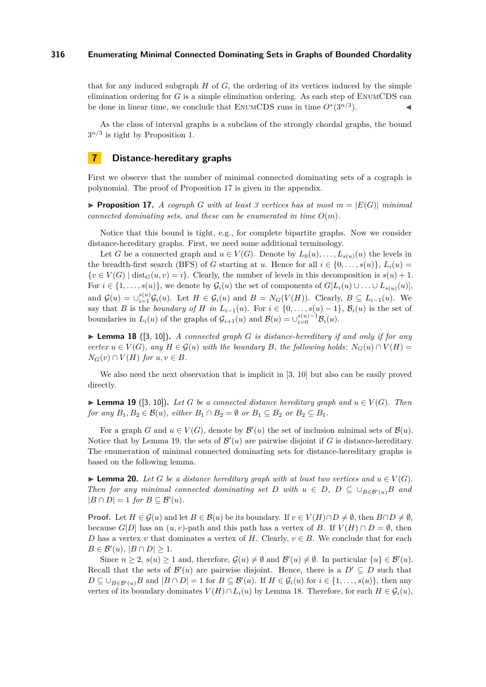that for any induced subgraph  $H$  of  $G$ , the ordering of its vertices induced by the simple elimination ordering for *G* is a simple elimination ordering. As each step of EnumCDS can be done in linear time, we conclude that ENUMCDS runs in time  $O^*(3^{n/3})$  $\blacksquare$ ).

As the class of interval graphs is a subclass of the strongly chordal graphs, the bound  $3^{n/3}$  is tight by Proposition [1.](#page-3-1)

## **7 Distance-hereditary graphs**

First we observe that the number of minimal connected dominating sets of a cograph is polynomial. The proof of Proposition [17](#page-9-0) is given in the appendix.

<span id="page-9-0"></span>**Proposition 17.** A cograph G with at least 3 vertices has at most  $m = |E(G)|$  minimal *connected dominating sets, and these can be enumerated in time*  $O(m)$ *.* 

Notice that this bound is tight, e.g., for complete bipartite graphs. Now we consider distance-hereditary graphs. First, we need some additional terminology.

Let *G* be a connected graph and  $u \in V(G)$ . Denote by  $L_0(u), \ldots, L_{s(u)}(u)$  the levels in the breadth-first search (BFS) of *G* starting at *u*. Hence for all  $i \in \{0, \ldots, s(u)\}, L_i(u) =$  $\{v \in V(G) \mid \text{dist}_G(u, v) = i\}.$  Clearly, the number of levels in this decomposition is  $s(u) + 1$ . For  $i \in \{1, \ldots, s(u)\}$ , we denote by  $\mathcal{G}_i(u)$  the set of components of  $G[L_i(u) \cup \ldots \cup L_{s(u)}(u)]$ , and  $\mathcal{G}(u) = \bigcup_{i=1}^{s(u)} \mathcal{G}_i(u)$ . Let  $H \in \mathcal{G}_i(u)$  and  $B = N_G(V(H))$ . Clearly,  $B \subseteq L_{i-1}(u)$ . We say that *B* is the *boundary of H* in  $L_{i-1}(u)$ . For  $i \in \{0, \ldots, s(u) - 1\}$ ,  $\mathcal{B}_i(u)$  is the set of boundaries in  $L_i(u)$  of the graphs of  $\mathcal{G}_{i+1}(u)$  and  $\mathcal{B}(u) = \cup_{i=0}^{s(u)-1} \mathcal{B}_i(u)$ .

<span id="page-9-2"></span>**Lemma 18** ([\[3,](#page-10-3) [10\]](#page-11-21)). A connected graph G is distance-hereditary if and only if for any *vertex*  $u \in V(G)$ *, any*  $H \in \mathcal{G}(u)$  *with the boundary B, the following holds:*  $N_G(u) \cap V(H) =$  $N_G(v) \cap V(H)$  *for*  $u, v \in B$ *.* 

We also need the next observation that is implicit in [\[3,](#page-10-3) [10\]](#page-11-21) but also can be easily proved directly.

<span id="page-9-1"></span>▶ **Lemma 19** ([\[3,](#page-10-3) [10\]](#page-11-21)). Let *G* be a connected distance hereditary graph and  $u \in V(G)$ . Then *for any*  $B_1, B_2 \in \mathcal{B}(u)$ *, either*  $B_1 \cap B_2 = \emptyset$  *or*  $B_1 \subseteq B_2$  *or*  $B_2 \subseteq B_1$ *.* 

For a graph *G* and  $u \in V(G)$ , denote by  $\mathcal{B}'(u)$  the set of inclusion minimal sets of  $\mathcal{B}(u)$ . Notice that by Lemma [19,](#page-9-1) the sets of  $\mathcal{B}'(u)$  are pairwise disjoint if G is distance-hereditary. The enumeration of minimal connected dominating sets for distance-hereditary graphs is based on the following lemma.

<span id="page-9-3"></span>**► Lemma 20.** Let *G* be a distance hereditary graph with at least two vertices and  $u \in V(G)$ . *Then for any minimal connected dominating set <i>D* with  $u \in D$ ,  $D \subseteq \bigcup_{B \in \mathcal{B}'(u)} B$  and  $|B \cap D| = 1$  *for*  $B \subseteq \mathcal{B}'(u)$ *.* 

**Proof.** Let  $H \in \mathcal{G}(u)$  and let  $B \in \mathcal{B}(u)$  be its boundary. If  $v \in V(H) \cap D \neq \emptyset$ , then  $B \cap D \neq \emptyset$ , because  $G[D]$  has an  $(u, v)$ -path and this path has a vertex of *B*. If  $V(H) \cap D = \emptyset$ , then *D* has a vertex *v* that dominates a vertex of *H*. Clearly,  $v \in B$ . We conclude that for each  $B \in \mathcal{B}'(u), |B \cap D| \geq 1.$ 

Since  $n \geq 2$ ,  $s(u) \geq 1$  and, therefore,  $\mathcal{G}(u) \neq \emptyset$  and  $\mathcal{B}'(u) \neq \emptyset$ . In particular  $\{u\} \in \mathcal{B}'(u)$ . Recall that the sets of  $\mathcal{B}'(u)$  are pairwise disjoint. Hence, there is a  $D' \subseteq D$  such that  $D \subseteq \bigcup_{B \in \mathcal{B}'(u)} B$  and  $|B \cap D| = 1$  for  $B \subseteq \mathcal{B}'(u)$ . If  $H \in \mathcal{G}_i(u)$  for  $i \in \{1, \ldots, s(u)\}$ , then any vertex of its boundary dominates  $V(H) \cap L_i(u)$  by Lemma [18.](#page-9-2) Therefore, for each  $H \in \mathcal{G}_i(u)$ ,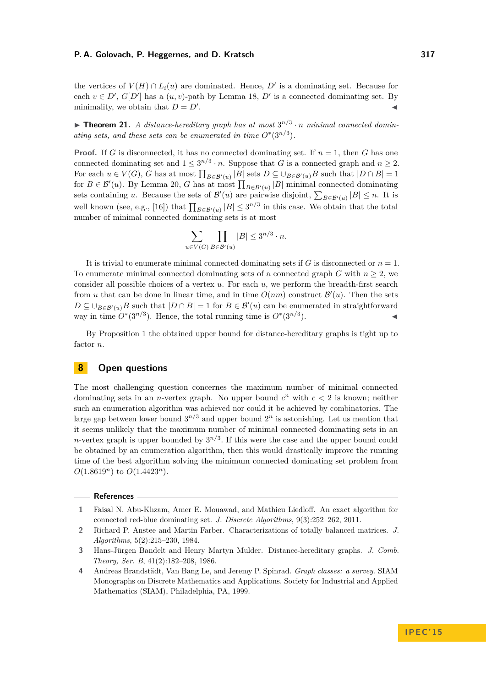the vertices of  $V(H) \cap L_i(u)$  are dominated. Hence,  $D'$  is a dominating set. Because for each  $v \in D'$ ,  $G[D']$  has a  $(u, v)$ -path by Lemma [18,](#page-9-2)  $D'$  is a connected dominating set. By minimality, we obtain that  $D = D'$ . . J

**Findmergeright** Theorem 21. A distance-hereditary graph has at most  $3^{n/3} \cdot n$  minimal connected domin*ating sets, and these sets can be enumerated in time*  $O^*(3^{n/3})$ *.* 

**Proof.** If *G* is disconnected, it has no connected dominating set. If  $n = 1$ , then *G* has one connected dominating set and  $1 \leq 3^{n/3} \cdot n$ . Suppose that *G* is a connected graph and  $n \geq 2$ . For each  $u \in V(G)$ , *G* has at most  $\prod_{B \in \mathcal{B}'(u)} |B|$  sets  $D \subseteq \bigcup_{B \in \mathcal{B}'(u)} B$  such that  $|D \cap B| = 1$ for  $B \in \mathcal{B}'(u)$ . By Lemma [20,](#page-9-3) *G* has at most  $\prod_{B \in \mathcal{B}'(u)} |B|$  minimal connected dominating sets containing *u*. Because the sets of  $\mathcal{B}'(u)$  are pairwise disjoint,  $\sum_{B \in \mathcal{B}'(u)} |B| \leq n$ . It is well known (see, e.g., [\[16\]](#page-11-20)) that  $\prod_{B \in \mathcal{B}'(u)} |B| \leq 3^{n/3}$  in this case. We obtain that the total number of minimal connected dominating sets is at most

$$
\sum_{u \in V(G)} \prod_{B \in \mathcal{B}'(u)} |B| \le 3^{n/3} \cdot n.
$$

It is trivial to enumerate minimal connected dominating sets if  $G$  is disconnected or  $n = 1$ . To enumerate minimal connected dominating sets of a connected graph  $G$  with  $n \geq 2$ , we consider all possible choices of a vertex *u*. For each *u*, we perform the breadth-first search from *u* that can be done in linear time, and in time  $O(nm)$  construct  $\mathcal{B}'(u)$ . Then the sets  $D \subseteq \bigcup_{B \in \mathcal{B}'(u)} B$  such that  $|D \cap B| = 1$  for  $B \in \mathcal{B}'(u)$  can be enumerated in straightforward way in time  $O^*(3^{n/3})$ . Hence, the total running time is  $O^*(3^{n/3})$  $\blacksquare$ ).

By Proposition [1](#page-3-1) the obtained upper bound for distance-hereditary graphs is tight up to factor *n*.

## **8 Open questions**

The most challenging question concernes the maximum number of minimal connected dominating sets in an *n*-vertex graph. No upper bound  $c^n$  with  $c < 2$  is known; neither such an enumeration algorithm was achieved nor could it be achieved by combinatorics. The large gap between lower bound  $3^{n/3}$  and upper bound  $2^n$  is astonishing. Let us mention that it seems unlikely that the maximum number of minimal connected dominating sets in an *n*-vertex graph is upper bounded by  $3^{n/3}$ . If this were the case and the upper bound could be obtained by an enumeration algorithm, then this would drastically improve the running time of the best algorithm solving the minimum connected dominating set problem from  $O(1.8619^n)$  to  $O(1.4423^n)$ .

**References**

<span id="page-10-0"></span>**<sup>1</sup>** Faisal N. Abu-Khzam, Amer E. Mouawad, and Mathieu Liedloff. An exact algorithm for connected red-blue dominating set. *J. Discrete Algorithms*, 9(3):252–262, 2011.

<span id="page-10-2"></span>**<sup>2</sup>** Richard P. Anstee and Martin Farber. Characterizations of totally balanced matrices. *J. Algorithms*, 5(2):215–230, 1984.

<span id="page-10-3"></span>**<sup>3</sup>** Hans-Jürgen Bandelt and Henry Martyn Mulder. Distance-hereditary graphs. *J. Comb. Theory, Ser. B*, 41(2):182–208, 1986.

<span id="page-10-1"></span>**<sup>4</sup>** Andreas Brandstädt, Van Bang Le, and Jeremy P. Spinrad. *Graph classes: a survey*. SIAM Monographs on Discrete Mathematics and Applications. Society for Industrial and Applied Mathematics (SIAM), Philadelphia, PA, 1999.